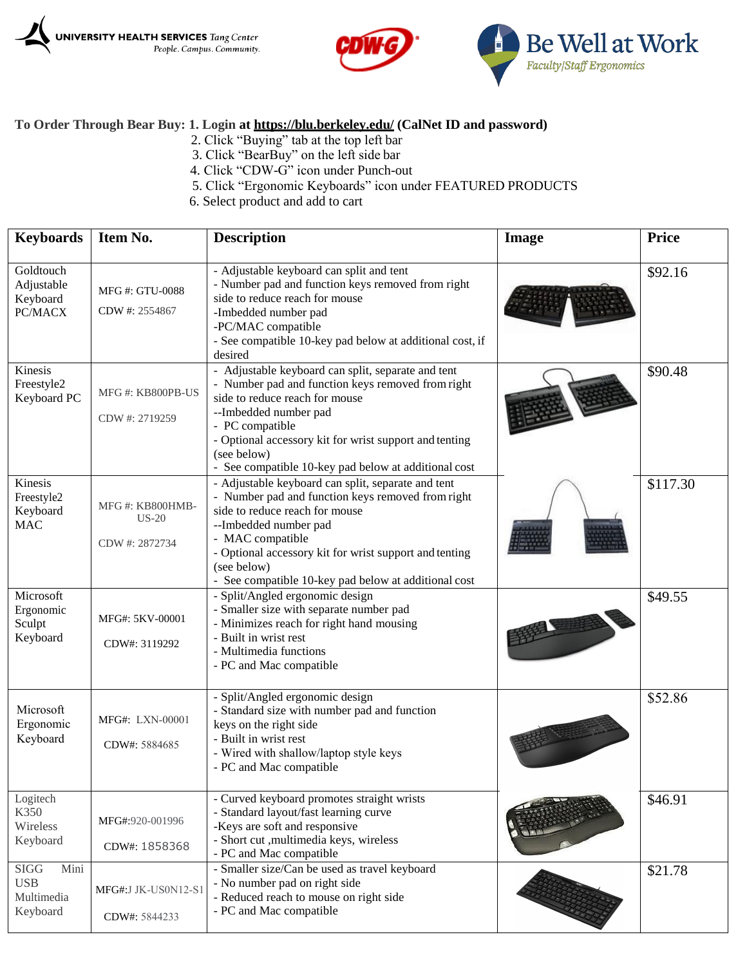





## **To Order Through Bear Buy: 1. Login at<https://blu.berkeley.edu/> (CalNet ID and password)**

- 2. Click "Buying" tab at the top left bar
- 3. Click "BearBuy" on the left side bar
- 4. Click "CDW-G" icon under Punch-out
- 5. Click "Ergonomic Keyboards" icon under FEATURED PRODUCTS
- 6. Select product and add to cart

| <b>Keyboards</b>                                            | Item No.                                     | <b>Description</b>                                                                                                                                                                                                                                                                                                      | Image | <b>Price</b> |
|-------------------------------------------------------------|----------------------------------------------|-------------------------------------------------------------------------------------------------------------------------------------------------------------------------------------------------------------------------------------------------------------------------------------------------------------------------|-------|--------------|
| Goldtouch<br>Adjustable<br>Keyboard<br>PC/MACX              | MFG #: GTU-0088<br>CDW #: 2554867            | - Adjustable keyboard can split and tent<br>- Number pad and function keys removed from right<br>side to reduce reach for mouse<br>-Imbedded number pad<br>-PC/MAC compatible<br>- See compatible 10-key pad below at additional cost, if<br>desired                                                                    |       | \$92.16      |
| Kinesis<br>Freestyle2<br>Keyboard PC                        | MFG#: KB800PB-US<br>CDW #: 2719259           | - Adjustable keyboard can split, separate and tent<br>- Number pad and function keys removed from right<br>side to reduce reach for mouse<br>--Imbedded number pad<br>- PC compatible<br>- Optional accessory kit for wrist support and tenting<br>(see below)<br>- See compatible 10-key pad below at additional cost  |       | \$90.48      |
| Kinesis<br>Freestyle2<br>Keyboard<br><b>MAC</b>             | MFG#: KB800HMB-<br>$US-20$<br>CDW #: 2872734 | - Adjustable keyboard can split, separate and tent<br>- Number pad and function keys removed from right<br>side to reduce reach for mouse<br>--Imbedded number pad<br>- MAC compatible<br>- Optional accessory kit for wrist support and tenting<br>(see below)<br>- See compatible 10-key pad below at additional cost |       | \$117.30     |
| Microsoft<br>Ergonomic<br>Sculpt<br>Keyboard                | MFG#: 5KV-00001<br>CDW#: 3119292             | - Split/Angled ergonomic design<br>- Smaller size with separate number pad<br>- Minimizes reach for right hand mousing<br>- Built in wrist rest<br>- Multimedia functions<br>- PC and Mac compatible                                                                                                                    |       | \$49.55      |
| Microsoft<br>Ergonomic<br>Keyboard                          | MFG#: LXN-00001<br>CDW#: 5884685             | - Split/Angled ergonomic design<br>- Standard size with number pad and function<br>keys on the right side<br>- Built in wrist rest<br>- Wired with shallow/laptop style keys<br>- PC and Mac compatible                                                                                                                 |       | \$52.86      |
| Logitech<br>K350<br>Wireless<br>Keyboard                    | MFG#:920-001996<br>CDW#: 1858368             | - Curved keyboard promotes straight wrists<br>- Standard layout/fast learning curve<br>-Keys are soft and responsive<br>- Short cut , multimedia keys, wireless<br>- PC and Mac compatible                                                                                                                              |       | \$46.91      |
| <b>SIGG</b><br>Mini<br><b>USB</b><br>Multimedia<br>Keyboard | MFG#:J JK-US0N12-S1<br>CDW#: 5844233         | - Smaller size/Can be used as travel keyboard<br>- No number pad on right side<br>- Reduced reach to mouse on right side<br>- PC and Mac compatible                                                                                                                                                                     |       | \$21.78      |